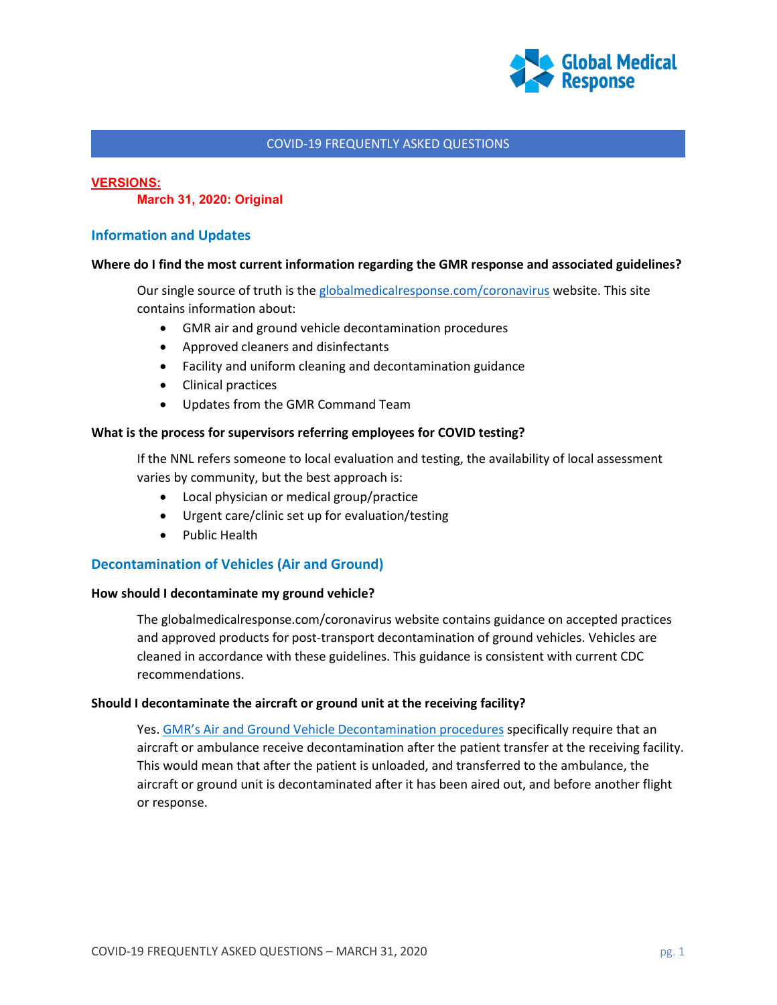

#### **VERSIONS:**

**March 31, 2020: Original**

# **Information and Updates**

#### **Where do I find the most current information regarding the GMR response and associated guidelines?**

Our single source of truth is th[e globalmedicalresponse.com/coronavirus](https://www.globalmedicalresponse.com/coronavirus) website. This site contains information about:

- GMR air and ground vehicle decontamination procedures
- Approved cleaners and disinfectants
- Facility and uniform cleaning and decontamination guidance
- Clinical practices
- Updates from the GMR Command Team

#### **What is the process for supervisors referring employees for COVID testing?**

If the NNL refers someone to local evaluation and testing, the availability of local assessment varies by community, but the best approach is:

- Local physician or medical group/practice
- Urgent care/clinic set up for evaluation/testing
- Public Health

# **Decontamination of Vehicles (Air and Ground)**

#### **How should I decontaminate my ground vehicle?**

The globalmedicalresponse.com/coronavirus website contains guidance on accepted practices and approved products for post-transport decontamination of ground vehicles. Vehicles are cleaned in accordance with these guidelines. This guidance is consistent with current CDC recommendations.

#### **Should I decontaminate the aircraft or ground unit at the receiving facility?**

Yes[. GMR's Air and Ground Vehicle Decontamination procedures](https://www.globalmedicalresponse.com/getdoc/508f7791-0614-4ba7-8b61-d72b5c701492/gmr-air-and-ground-vehicle-covid-19-decon_3-19-20.pdf) specifically require that an aircraft or ambulance receive decontamination after the patient transfer at the receiving facility. This would mean that after the patient is unloaded, and transferred to the ambulance, the aircraft or ground unit is decontaminated after it has been aired out, and before another flight or response.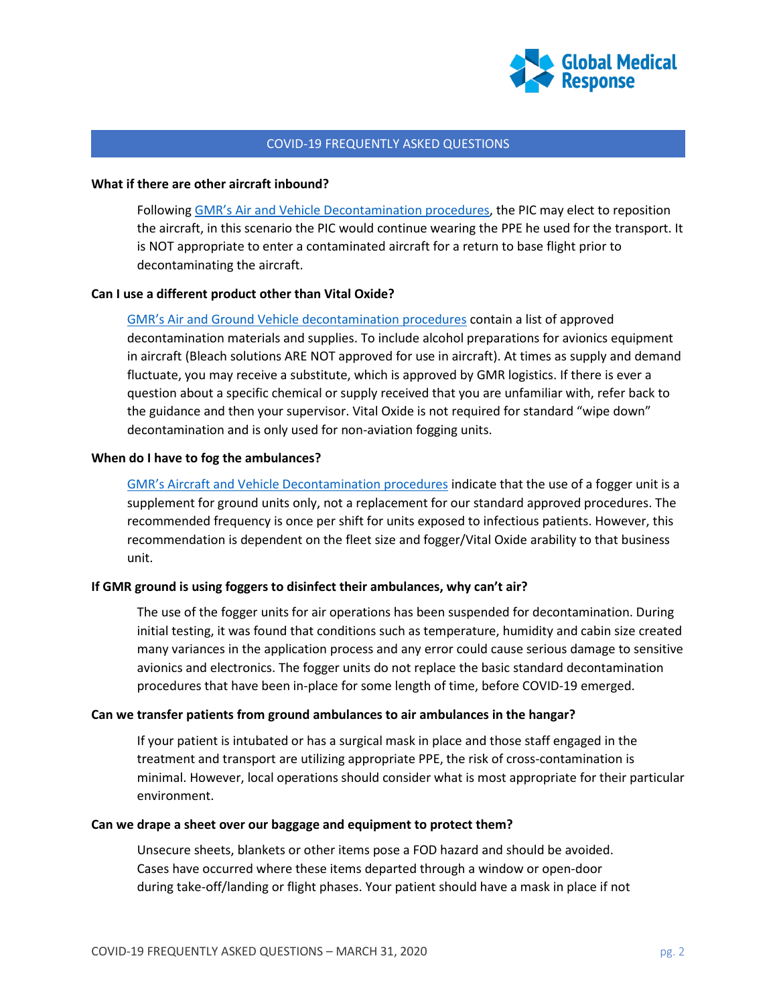

#### **What if there are other aircraft inbound?**

Followin[g GMR's Air and Vehicle Decontamination procedures,](https://www.globalmedicalresponse.com/getdoc/508f7791-0614-4ba7-8b61-d72b5c701492/gmr-air-and-ground-vehicle-covid-19-decon_3-19-20.pdf) the PIC may elect to reposition the aircraft, in this scenario the PIC would continue wearing the PPE he used for the transport. It is NOT appropriate to enter a contaminated aircraft for a return to base flight prior to decontaminating the aircraft.

## **Can I use a different product other than Vital Oxide?**

[GMR's Air and Ground Vehicle decontamination procedures](https://www.globalmedicalresponse.com/getdoc/508f7791-0614-4ba7-8b61-d72b5c701492/gmr-air-and-ground-vehicle-covid-19-decon_3-19-20.pdf) contain a list of approved decontamination materials and supplies. To include alcohol preparations for avionics equipment in aircraft (Bleach solutions ARE NOT approved for use in aircraft). At times as supply and demand fluctuate, you may receive a substitute, which is approved by GMR logistics. If there is ever a question about a specific chemical or supply received that you are unfamiliar with, refer back to the guidance and then your supervisor. Vital Oxide is not required for standard "wipe down" decontamination and is only used for non-aviation fogging units.

#### **When do I have to fog the ambulances?**

[GMR's Aircraft and Vehicle Decontamination procedures](https://www.globalmedicalresponse.com/getdoc/508f7791-0614-4ba7-8b61-d72b5c701492/gmr-air-and-ground-vehicle-covid-19-decon_3-19-20.pdf) indicate that the use of a fogger unit is a supplement for ground units only, not a replacement for our standard approved procedures. The recommended frequency is once per shift for units exposed to infectious patients. However, this recommendation is dependent on the fleet size and fogger/Vital Oxide arability to that business unit.

## **If GMR ground is using foggers to disinfect their ambulances, why can't air?**

The use of the fogger units for air operations has been suspended for decontamination. During initial testing, it was found that conditions such as temperature, humidity and cabin size created many variances in the application process and any error could cause serious damage to sensitive avionics and electronics. The fogger units do not replace the basic standard decontamination procedures that have been in-place for some length of time, before COVID-19 emerged.

#### **Can we transfer patients from ground ambulances to air ambulances in the hangar?**

If your patient is intubated or has a surgical mask in place and those staff engaged in the treatment and transport are utilizing appropriate PPE, the risk of cross-contamination is minimal. However, local operations should consider what is most appropriate for their particular environment.

#### **Can we drape a sheet over our baggage and equipment to protect them?**

Unsecure sheets, blankets or other items pose a FOD hazard and should be avoided. Cases have occurred where these items departed through a window or open-door during take-off/landing or flight phases. Your patient should have a mask in place if not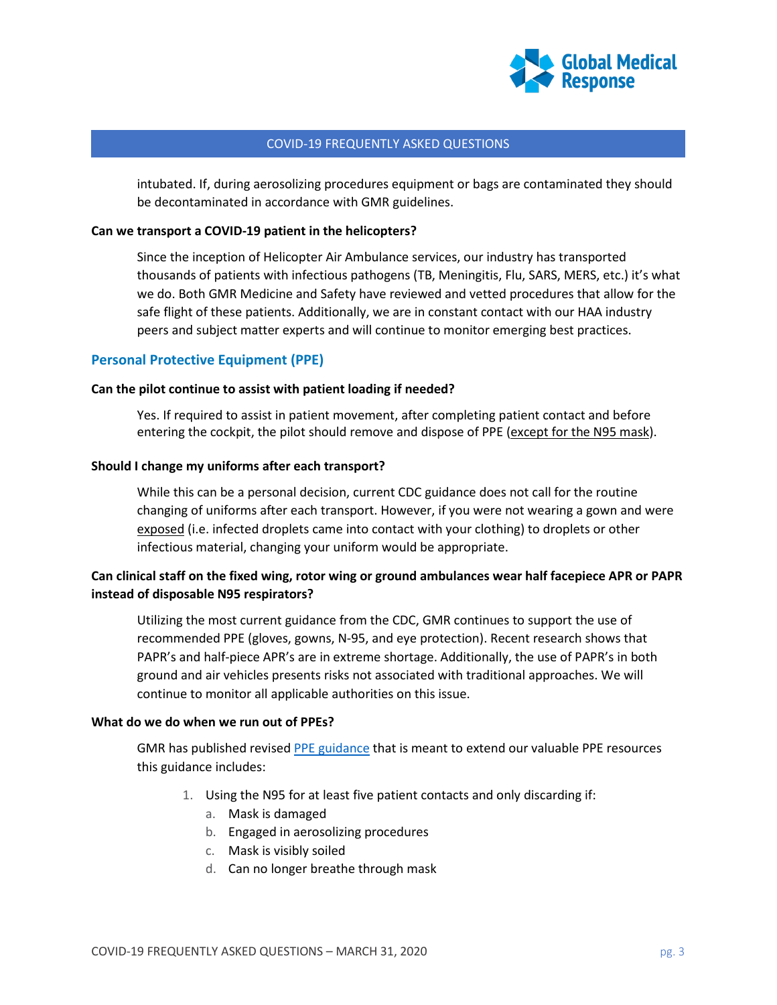

intubated. If, during aerosolizing procedures equipment or bags are contaminated they should be decontaminated in accordance with GMR guidelines.

## **Can we transport a COVID-19 patient in the helicopters?**

Since the inception of Helicopter Air Ambulance services, our industry has transported thousands of patients with infectious pathogens (TB, Meningitis, Flu, SARS, MERS, etc.) it's what we do. Both GMR Medicine and Safety have reviewed and vetted procedures that allow for the safe flight of these patients. Additionally, we are in constant contact with our HAA industry peers and subject matter experts and will continue to monitor emerging best practices.

## **Personal Protective Equipment (PPE)**

#### **Can the pilot continue to assist with patient loading if needed?**

Yes. If required to assist in patient movement, after completing patient contact and before entering the cockpit, the pilot should remove and dispose of PPE (except for the N95 mask).

#### **Should I change my uniforms after each transport?**

While this can be a personal decision, current CDC guidance does not call for the routine changing of uniforms after each transport. However, if you were not wearing a gown and were exposed (i.e. infected droplets came into contact with your clothing) to droplets or other infectious material, changing your uniform would be appropriate.

# **Can clinical staff on the fixed wing, rotor wing or ground ambulances wear half facepiece APR or PAPR instead of disposable N95 respirators?**

Utilizing the most current guidance from the CDC, GMR continues to support the use of recommended PPE (gloves, gowns, N-95, and eye protection). Recent research shows that PAPR's and half-piece APR's are in extreme shortage. Additionally, the use of PAPR's in both ground and air vehicles presents risks not associated with traditional approaches. We will continue to monitor all applicable authorities on this issue.

#### **What do we do when we run out of PPEs?**

GMR has published revise[d PPE guidance](https://www.globalmedicalresponse.com/getdoc/7f6d1ed0-f205-4f6d-9e1c-98064a9209d0/covid-19-ppe-policy-update-(2).pdf) that is meant to extend our valuable PPE resources this guidance includes:

- 1. Using the N95 for at least five patient contacts and only discarding if:
	- a. Mask is damaged
	- b. Engaged in aerosolizing procedures
	- c. Mask is visibly soiled
	- d. Can no longer breathe through mask